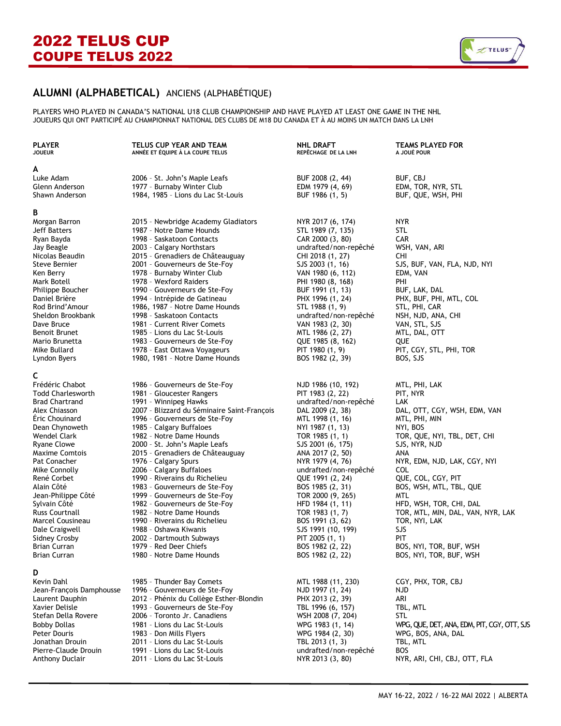

## **ALUMNI (ALPHABETICAL)** ANCIENS (ALPHABÉTIQUE)

PLAYERS WHO PLAYED IN CANADA'S NATIONAL U18 CLUB CHAMPIONSHIP AND HAVE PLAYED AT LEAST ONE GAME IN THE NHL JOUEURS QUI ONT PARTICIPÉ AU CHAMPIONNAT NATIONAL DES CLUBS DE M18 DU CANADA ET À AU MOINS UN MATCH DANS LA LNH

### **A**

### **B**

### **C**

## **D**

Anthony Duclair 2011 - Lions du Lac St-Louis NYR 2013 (3, 80) NYR, ARI, CHI, CBJ, OTT, FLA

| <b>JOUEUR</b>                | ANNÉE ET ÉQUIPE À LA COUPE TELUS                          | REPÊCHAGE DE LA LNH                  | A JOUÉ POUR                                 |
|------------------------------|-----------------------------------------------------------|--------------------------------------|---------------------------------------------|
| A                            |                                                           |                                      |                                             |
| Luke Adam                    | 2006 - St. John's Maple Leafs                             | BUF 2008 (2, 44)                     | BUF, CBJ                                    |
| Glenn Anderson               | 1977 - Burnaby Winter Club                                | EDM 1979 (4, 69)                     | EDM, TOR, NYR, STL                          |
| Shawn Anderson               | 1984, 1985 - Lions du Lac St-Louis                        | BUF 1986 (1, 5)                      | BUF, QUE, WSH, PHI                          |
| B                            |                                                           |                                      |                                             |
| Morgan Barron                | 2015 - Newbridge Academy Gladiators                       | NYR 2017 (6, 174)                    | NYR.                                        |
| Jeff Batters                 | 1987 - Notre Dame Hounds                                  | STL 1989 (7, 135)                    | STL                                         |
| Ryan Bayda                   | 1998 - Saskatoon Contacts                                 | CAR 2000 (3, 80)                     | <b>CAR</b>                                  |
| Jay Beagle                   | 2003 - Calgary Northstars                                 | undrafted/non-repêché                | WSH, VAN, ARI                               |
| Nicolas Beaudin              | 2015 - Grenadiers de Châteauguay                          | CHI 2018 (1, 27)                     | <b>CHI</b>                                  |
| Steve Bernier                | 2001 - Gouverneurs de Ste-Foy                             | SJS 2003 (1, 16)                     | SJS, BUF, VAN, FLA, NJD, NYI                |
| Ken Berry                    | 1978 - Burnaby Winter Club                                | VAN 1980 (6, 112)                    | EDM, VAN                                    |
| Mark Botell                  | 1978 - Wexford Raiders                                    | PHI 1980 (8, 168)                    | PHI                                         |
| Philippe Boucher             | 1990 - Gouverneurs de Ste-Foy                             | BUF 1991 (1, 13)                     | BUF, LAK, DAL                               |
| Daniel Brière                | 1994 - Intrépide de Gatineau                              | PHX 1996 (1, 24)                     | PHX, BUF, PHI, MTL, COL                     |
| Rod Brind'Amour              | 1986, 1987 - Notre Dame Hounds                            | STL 1988 (1, 9)                      | STL, PHI, CAR                               |
| Sheldon Brookbank            | 1998 - Saskatoon Contacts                                 | undrafted/non-repêché                | NSH, NJD, ANA, CHI                          |
| Dave Bruce                   | 1981 - Current River Comets                               | VAN 1983 (2, 30)                     | VAN, STL, SJS                               |
| <b>Benoit Brunet</b>         | 1985 - Lions du Lac St-Louis                              | MTL 1986 (2, 27)                     | MTL, DAL, OTT                               |
| Mario Brunetta               | 1983 - Gouverneurs de Ste-Foy                             | QUE 1985 (8, 162)                    | QUE                                         |
| Mike Bullard                 | 1978 - East Ottawa Voyageurs                              | PIT 1980 (1, 9)                      | PIT, CGY, STL, PHI, TOR                     |
| Lyndon Byers                 | 1980, 1981 - Notre Dame Hounds                            | BOS 1982 (2, 39)                     | BOS, SJS                                    |
| C                            |                                                           |                                      |                                             |
| Frédéric Chabot              | 1986 - Gouverneurs de Ste-Foy                             | NJD 1986 (10, 192)                   | MTL, PHI, LAK                               |
| <b>Todd Charlesworth</b>     | 1981 - Gloucester Rangers                                 | PIT 1983 (2, 22)                     | PIT, NYR                                    |
| <b>Brad Chartrand</b>        | 1991 - Winnipeg Hawks                                     | undrafted/non-repêché                | LAK                                         |
| Alex Chiasson                | 2007 - Blizzard du Séminaire Saint-François               | DAL 2009 (2, 38)                     | DAL, OTT, CGY, WSH, EDM, VAN                |
| Eric Chouinard               | 1996 - Gouverneurs de Ste-Foy                             | MTL 1998 (1, 16)                     | MTL, PHI, MIN                               |
| Dean Chynoweth               | 1985 - Calgary Buffaloes                                  | NYI 1987 (1, 13)                     | NYI, BOS                                    |
| Wendel Clark                 | 1982 - Notre Dame Hounds                                  | TOR 1985 (1, 1)                      | TOR, QUE, NYI, TBL, DET, CHI                |
| Ryane Clowe                  | 2000 - St. John's Maple Leafs                             | SJS 2001 (6, 175)                    | SJS, NYR, NJD                               |
| <b>Maxime Comtois</b>        | 2015 - Grenadiers de Châteauguay                          | ANA 2017 (2, 50)                     | ANA                                         |
| Pat Conacher                 | 1976 - Calgary Spurs                                      | NYR 1979 (4, 76)                     | NYR, EDM, NJD, LAK, CGY, NYI<br><b>COL</b>  |
| Mike Connolly<br>René Corbet | 2006 - Calgary Buffaloes<br>1990 - Riverains du Richelieu | undrafted/non-repêché                | QUE, COL, CGY, PIT                          |
| Alain Côté                   | 1983 - Gouverneurs de Ste-Foy                             | QUE 1991 (2, 24)<br>BOS 1985 (2, 31) | BOS, WSH, MTL, TBL, QUE                     |
| Jean-Philippe Côté           | 1999 - Gouverneurs de Ste-Foy                             | TOR 2000 (9, 265)                    | <b>MTL</b>                                  |
| Sylvain Côté                 | 1982 - Gouverneurs de Ste-Foy                             | HFD 1984 (1, 11)                     | HFD, WSH, TOR, CHI, DAL                     |
| Russ Courtnall               | 1982 - Notre Dame Hounds                                  | TOR 1983 (1, 7)                      | TOR, MTL, MIN, DAL, VAN, NYR, LAK           |
| Marcel Cousineau             | 1990 - Riverains du Richelieu                             | BOS 1991 (3, 62)                     | TOR, NYI, LAK                               |
| Dale Craigwell               | 1988 - Oshawa Kiwanis                                     | SJS 1991 (10, 199)                   | SJS                                         |
| <b>Sidney Crosby</b>         | 2002 - Dartmouth Subways                                  | PIT 2005 (1, 1)                      | PIT                                         |
| <b>Brian Curran</b>          | 1979 - Red Deer Chiefs                                    | BOS 1982 (2, 22)                     | BOS, NYI, TOR, BUF, WSH                     |
| <b>Brian Curran</b>          | 1980 - Notre Dame Hounds                                  | BOS 1982 (2, 22)                     | BOS, NYI, TOR, BUF, WSH                     |
| D                            |                                                           |                                      |                                             |
| Kevin Dahl                   | 1985 - Thunder Bay Comets                                 | MTL 1988 (11, 230)                   | CGY, PHX, TOR, CBJ                          |
| Jean-François Damphousse     | 1996 - Gouverneurs de Ste-Foy                             | NJD 1997 (1, 24)                     | <b>NJD</b>                                  |
| Laurent Dauphin              | 2012 - Phénix du Collège Esther-Blondin                   | PHX 2013 (2, 39)                     | ARI                                         |
| Xavier Delisle               | 1993 - Gouverneurs de Ste-Foy                             | TBL 1996 (6, 157)                    | TBL, MTL                                    |
| Stefan Della Rovere          | 2006 - Toronto Jr. Canadiens                              | WSH 2008 (7, 204)                    | <b>STL</b>                                  |
| Bobby Dollas                 | 1981 - Lions du Lac St-Louis                              | WPG 1983 (1, 14)                     | WPG, QUE, DET, ANA, EDM, PIT, CGY, OTT, SJS |
| Peter Douris                 | 1983 - Don Mills Flyers                                   | WPG 1984 (2, 30)                     | WPG, BOS, ANA, DAL                          |
| Jonathan Drouin              | 2011 - Lions du Lac St-Louis                              | TBL 2013 (1, 3)                      | TBL, MTL                                    |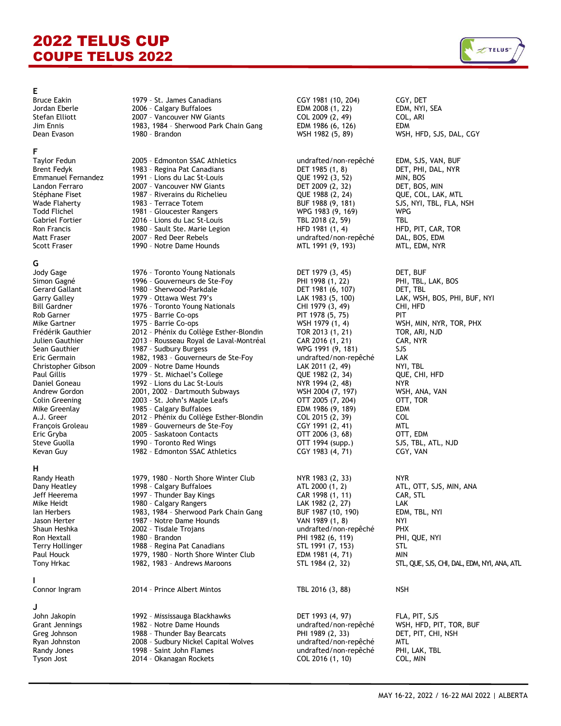

**E**

**F**

## **G**

**H**

# **I**

## **J**

Bruce Eakin 1979 – St. James Canadians CGY 1981 (10, 204) CGY, DET Jordan Eberle 2006 – Calgary Buffaloes EDM 2008 (1, 22) EDM, NYI, SEA Stefan Elliott 2007 – Vancouver NW Giants COL 2009 (2, 49) COL, ARI 1983, 1984 - Sherwood Park Chain Gang EDM 1986 (6, 126) Dean Evason 1980 – Brandon WSH 1982 (5, 89) WSH, HFD, SJS, DAL, CGY

Brent Fedyk 1983 - Regina Pat Canadians (Betal) 1985 (1, 8) DET, PHI, DAL, NYR<br>Emmanuel Fernandez 1991 - Lions du Lac St-Louis (DUE 1992 (3, 52) MIN. BOS Emmanuel Fernandez 1991 - Lions du Lac St-Louis (QUE 1992 (3, 52) MIN, BOS (D. 1992 (3, 52) MIN, BOS (D. 1992<br>Candon Ferraro (D. 2007 - Vancouver NW Giants (DET 2009 (2, 32) DET, BOS, MIN Landon Ferraro 2007 – Vancouver NW Giants DET 2009 (2, 32) DET, BOS, MIN Stéphane Fiset 1987 - Riverains du Richelieu (QUE 1988 (2, 24) Wade Flaherty 1983 – Terrace Totem BUF 1988 (9, 181) SJS, NYI, TBL, FLA, NSH 1981 - Gloucester Rangers Manuel 1983 (9, 169) WPG 1983 (9, 169) Gabriel Fortier 2016 – Lions du Lac St-Louis TBL 2018 (2, 59) TBL

- Scott Fraser **1990 Notre Dame Hounds** MTL 1991 (9, 193) MTL, EDM, NYR
- Jody Gage 1976 Toronto Young Nationals DET 1979 (3, 45) DET, BUF 1996 - Gouverneurs de Ste-Foy Gerard Gallant 1980 – Sherwood-Parkdale DET 1981 (6, 107) DET, TBL Garry Galley **1979 - Ottawa West 79's** CLAK 1983 (5, 100) LAK, WSH, BOS, PHI, BUF, NYI Bill Gardner 1976 – Toronto Young Nationals CHI 1979 (3, 49) CHI, HFD Rob Garner 1975 – Barrie Co-ops PIT 1978 (5, 75) PIT Mike Gartner 1975 - Barrie Co-ops (1975) – 1979 (1, 4) WSH 1979 (1, 4) WSH, MIN, NYR, TOR, PHX<br>Terédérik Gauthier 1980 – 2012 - Phénix du Collège Esther-Blondin 1980 – 1981 (1, 21) TOR, ARI, NJD 2012 - Phénix du Collège Esther-Blondin Julien Gauthier 2013 – Rousseau Royal de Laval-Montréal CAR 2016 (1, 21) CAR, NYR 1987 - Sudbury Burgess WPG 1991 (9, 181) Eric Germain 1982, 1983 - Gouverneurs de Ste-Foy bundrafted/non-repêché LAK Christopher Gibson 2009 - Notre Dame Hounds 2009 - LAK 2011 (2, 49) NYI, TBL Paul Gillis 1979 – St. Michael's College QUE 1982 (2, 34) QUE, CHI, HFD Daniel Goneau 1992 – Lions du Lac St-Louis NYR 1994 (2, 48) NYR Andrew Compact Compact 2001, 2002 – Dartmouth Subways WSH 2004 (7, 197) WSH, ANA<br>Andrew Compact 2003 – 2003 (7, 204) COMPACT COMPACT COMPACT COMPACT COMPACT 2005 (7, 204) Colin Greening 2003 - St. John's Maple Leafs COLIN 10005 (7, 204) Mike Greenlay 1985 – Calgary Buffaloes EDM 1986 (9, 189) EDM 2012 - Phénix du Collège Esther-Blondin François Groleau 1989 – Gouverneurs de Ste-Foy CGY 1991 (2, 41) MTL Eric Gryba 2005 – Saskatoon Contacts OTT 2006 (3, 68) OTT, EDM Steve Guolla 1990 - Toronto Red Wings<br>1982 - Edmonton SSAC Atl 1982 - Edmonton SSAC Athletics CGY 1983 (4, 71) CGY, VAN
- Randy Heath 1979, 1980 North Shore Winter Club NYR 1983 (2, 33) NYR Dany Heatley 1998 – Calgary Buffaloes ATL 2000 (1, 2) ATL, OTT, SJS, MIN, ANA Jeff Heerema 1997 – Thunder Bay Kings CAR 1998 (1, 11) CAR, STL 1980 - Calgary Rangers  $LAK$  1982  $(2, 27)$  LAK Ian Herbers 1983, 1984 - Sherwood Park Chain Gang BUF 1987 (10, 190) EDM, TBL, NYI Jason Herter 1987 – Notre Dame Hounds VAN 1989 (1, 8) NYI Shaun Heshka 2002 – Tisdale Trojans undrafted/non-repêché PHX Ron Hextall **1980 - Brandon** PHI 1982 (6, 119) PHI 1982 (1, 119) Terry Hollinger 1988 – Regina Pat Canadians STL 1991 (7, 153) STL 1979, 1980 - North Shore Winter Club EDM 1981 (4, 71) MIN Tony Hrkac 1982, 1983 - Andrews Maroons STL 1984 (2, 32) STL, QUE, SJS, CHI, DAL, EDM, NYI, ANA, ATL

### Connor Ingram 2014 - Prince Albert Mintos TBL 2016 (3, 88) NSH

- 
- 
- 
- -
	-

2005 - Edmonton SSAC Athletics von the undrafted/non-repêché EDM, SJS, VAN, BUF Ron Francis 1980 – Sault Ste. Marie Legion HFD 1981 (1, 4) HFD, PIT, CAR, TOR undrafted/non-repêché

John Jakopin 1992 – Mississauga Blackhawks DET 1993 (4, 97) FLA, PIT, SJS Greg Johnson 1988 – Thunder Bay Bearcats PHI 1989 (2, 33) DET, PIT, CHI, NSH 2008 - Sudbury Nickel Capital Wolves undrafted/non-repêché MTL Randy Jones 1998 – Saint John Flames undrafted/non-repêché PHI, LAK, TBL Tyson Jost 2014 – Okanagan Rockets COL 2016 (1, 10) COL, MIN

WSH, HFD, PIT, TOR, BUF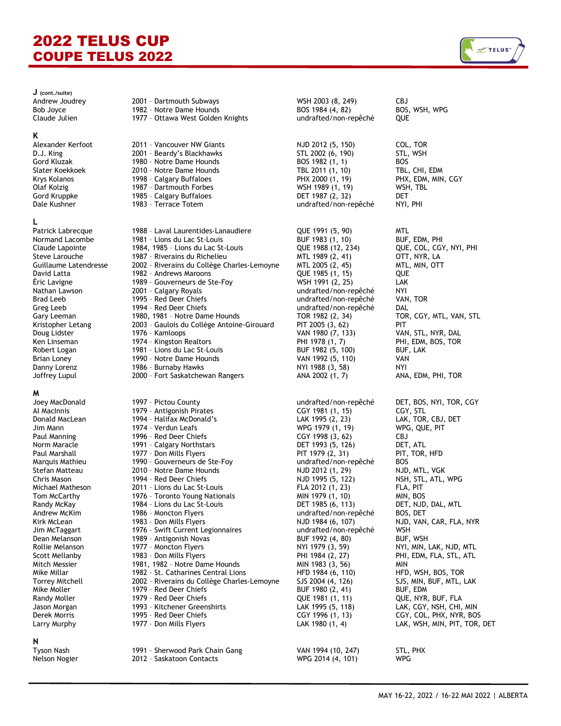### **K**

## **L**

**M**

### **N**

| $J$ (cont./suite)      |                                             |                       |                         |
|------------------------|---------------------------------------------|-----------------------|-------------------------|
| Andrew Joudrey         | 2001 - Dartmouth Subways                    | WSH 2003 (8, 249)     | <b>CBJ</b>              |
| <b>Bob Joyce</b>       | 1982 - Notre Dame Hounds                    | BOS 1984 (4, 82)      | BOS, WSH, WPG           |
| Claude Julien          | 1977 - Ottawa West Golden Knights           | undrafted/non-repêché | QUE                     |
|                        |                                             |                       |                         |
| Κ                      |                                             |                       |                         |
| Alexander Kerfoot      | 2011 - Vancouver NW Giants                  | NJD 2012 (5, 150)     | COL, TOR                |
| D.J. King              | 2001 - Beardy's Blackhawks                  | STL 2002 (6, 190)     | STL, WSH                |
| Gord Kluzak            | 1980 - Notre Dame Hounds                    | BOS 1982 (1, 1)       | <b>BOS</b>              |
| Slater Koekkoek        | 2010 - Notre Dame Hounds                    | TBL 2011 (1, 10)      | TBL, CHI, EDM           |
| Krys Kolanos           | 1998 - Calgary Buffaloes                    | PHX 2000 (1, 19)      | PHX, EDM, MIN, CGY      |
|                        | 1987 - Dartmouth Forbes                     |                       |                         |
| Olaf Kolzig            |                                             | WSH 1989 (1, 19)      | WSH, TBL                |
| Gord Kruppke           | 1985 - Calgary Buffaloes                    | DET 1987 (2, 32)      | DET                     |
| Dale Kushner           | 1983 - Terrace Totem                        | undrafted/non-repêché | NYI, PHI                |
| L                      |                                             |                       |                         |
| Patrick Labrecque      | 1988 - Laval Laurentides-Lanaudiere         | QUE 1991 (5, 90)      | <b>MTL</b>              |
| Normand Lacombe        | 1981 - Lions du Lac St-Louis                | BUF 1983 (1, 10)      | BUF, EDM, PHI           |
| Claude Lapointe        | 1984, 1985 - Lions du Lac St-Louis          | QUE 1988 (12, 234)    | QUE, COL, CGY, NYI, PHI |
| Steve Larouche         | 1987 - Riverains du Richelieu               | MTL 1989 (2, 41)      | OTT, NYR, LA            |
|                        |                                             |                       |                         |
| Guillaume Latendresse  | 2002 - Riverains du Collège Charles-Lemoyne | MTL 2005 (2, 45)      | MTL, MIN, OTT           |
| David Latta            | 1982 - Andrews Maroons                      | QUE 1985 (1, 15)      | QUE                     |
| Eric Lavigne           | 1989 - Gouverneurs de Ste-Foy               | WSH 1991 (2, 25)      | LAK                     |
| Nathan Lawson          | 2001 - Calgary Royals                       | undrafted/non-repêché | NYI                     |
| Brad Leeb              | 1995 - Red Deer Chiefs                      | undrafted/non-repêché | VAN, TOR                |
| Greg Leeb              | 1994 - Red Deer Chiefs                      | undrafted/non-repêché | DAL                     |
| Gary Leeman            | 1980, 1981 - Notre Dame Hounds              | TOR 1982 (2, 34)      | TOR, CGY, MTL, VAN, STL |
| Kristopher Letang      | 2003 - Gaulois du Collège Antoine-Girouard  | PIT 2005 (3, 62)      | PIT                     |
| Doug Lidster           | 1976 - Kamloops                             | VAN 1980 (7, 133)     | VAN, STL, NYR, DAL      |
| Ken Linseman           | 1974 - Kingston Realtors                    | PHI 1978 (1, 7)       | PHI, EDM, BOS, TOR      |
| Robert Logan           | 1981 - Lions du Lac St-Louis                | BUF 1982 (5, 100)     | BUF, LAK                |
| Brian Loney            | 1990 - Notre Dame Hounds                    | VAN 1992 (5, 110)     | VAN                     |
| Danny Lorenz           | 1986 - Burnaby Hawks                        | NYI 1988 (3, 58)      | NYI                     |
| Joffrey Lupul          | 2000 - Fort Saskatchewan Rangers            | ANA 2002 (1, 7)       | ANA, EDM, PHI, TOR      |
|                        |                                             |                       |                         |
| M                      |                                             |                       |                         |
| Joey MacDonald         | 1997 - Pictou County                        | undrafted/non-repêché | DET, BOS, NYI, TOR, CGY |
| Al MacInnis            | 1979 - Antigonish Pirates                   | CGY 1981 (1, 15)      | CGY, STL                |
| Donald MacLean         | 1994 - Halifax McDonald's                   | LAK 1995 (2, 23)      | LAK, TOR, CBJ, DET      |
| Jim Mann               | 1974 - Verdun Leafs                         | WPG 1979 (1, 19)      | WPG, QUE, PIT           |
| Paul Manning           | 1996 - Red Deer Chiefs                      | CGY 1998 (3, 62)      | CBJ                     |
| Norm Maracle           | 1991 - Calgary Northstars                   | DET 1993 (5, 126)     | DET, ATL                |
| Paul Marshall          | 1977 - Don Mills Flyers                     | PIT 1979 (2, 31)      | PIT, TOR, HFD           |
| Marquis Mathieu        | 1990 - Gouverneurs de Ste-Foy               | undrafted/non-repêché | <b>BOS</b>              |
| Stefan Matteau         | 2010 - Notre Dame Hounds                    | NJD 2012 (1, 29)      | NJD, MTL, VGK           |
| Chris Mason            | 1994 - Red Deer Chiefs                      | NJD 1995 (5, 122)     | NSH, STL, ATL, WPG      |
| Michael Matheson       | 2011 - Lions du Lac St-Louis                | FLA 2012 (1, 23)      | FLA, PIT                |
| Tom McCarthy           | 1976 - Toronto Young Nationals              | MIN 1979 (1, 10)      | MIN, BOS                |
| Randy McKay            | 1984 - Lions du Lac St-Louis                | DET 1985 (6, 113)     | DET, NJD, DAL, MTL      |
| Andrew McKim           | 1986 - Moncton Flyers                       | undrafted/non-repêché | BOS, DET                |
| Kirk McLean            | 1983 - Don Mills Flyers                     | NJD 1984 (6, 107)     | NJD, VAN, CAR, FLA, NYR |
| Jim McTaggart          | 1976 - Swift Current Legionnaires           | undrafted/non-repêché | WSH                     |
| Dean Melanson          | 1989 - Antigonish Novas                     | BUF 1992 (4, 80)      | BUF, WSH                |
| Rollie Melanson        |                                             |                       |                         |
|                        | 1977 - Moncton Flyers                       | NYI 1979 (3, 59)      | NYI, MIN, LAK, NJD, MTL |
| Scott Mellanby         | 1983 - Don Mills Flyers                     | PHI 1984 (2, 27)      | PHI, EDM, FLA, STL, ATL |
| Mitch Messier          | 1981, 1982 - Notre Dame Hounds              | MIN 1983 (3, 56)      | MIN                     |
| Mike Millar            | 1982 - St. Catharines Central Lions         | HFD 1984 (6, 110)     | HFD, WSH, BOS, TOR      |
| <b>Torrey Mitchell</b> | 2002 - Riverains du Collège Charles-Lemoyne | SJS 2004 (4, 126)     | SJS, MIN, BUF, MTL, LAK |
| Mike Moller            | 1979 - Red Deer Chiefs                      | BUF 1980 (2, 41)      | BUF, EDM                |
| Randy Moller           | 1979 - Red Deer Chiefs                      | QUE 1981 (1, 11)      | QUE, NYR, BUF, FLA      |
| Jason Morgan           | 1993 - Kitchener Greenshirts                | LAK 1995 (5, 118)     | LAK, CGY, NSH, CHI, MIN |

Jason Morgan 1993 – Kitchener Greenshirts LAK 1995 (5, 118) LAK, CGY, NSH, CHI, MIN Derek Morris **1995 - Red Deer Chiefs CGY 1996 (1, 13)** CGY, COL, PHX, NYR, BOS Larry Murphy **1977 - Don Mills Flyers 1977 - Don Mills Flyers** LAK 1980 (1, 4) LAK, WSH, MIN, PIT, TOR, DET

Tyson Nash 1991 – Sherwood Park Chain Gang VAN 1994 (10, 247) STL, PHX

Nelson Nogier 2012 – Saskatoon Contacts WPG 2014 (4, 101) WPG

PHI, EDM, BOS, TOR LAK, TOR, CBJ, DET

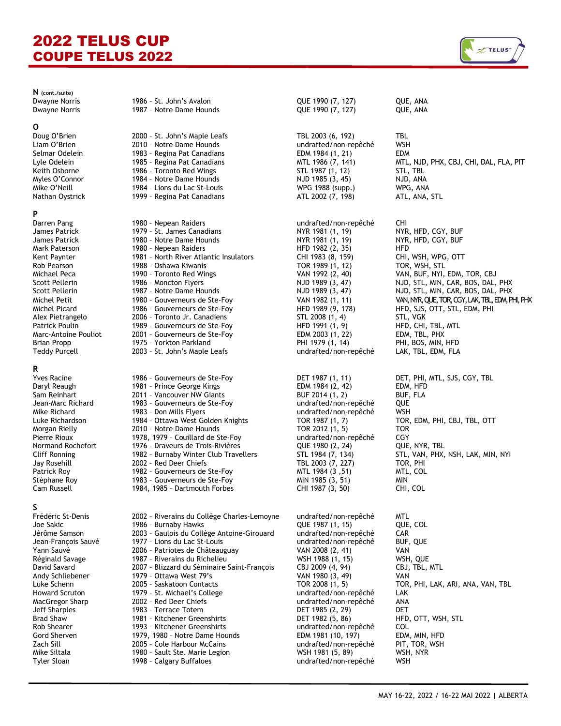**N (cont./suite)**

**O**<br>Doug O'Brien

### **P**

**R**<br>Yves Racine

**S**<br>Frédéric St-Denis

Dwayne Norris 1986 – St. John's Avalon QUE 1990 (7, 127) QUE, ANA Dwayne Norris **1987 - Notre Dame Hounds 1990** (7, 127) QUE, ANA 2000 - St. John's Maple Leafs TBL 2003 (6, 192) TBL Liam O'Brien 2010 – Notre Dame Hounds undrafted/non-repêché WSH Selmar Odelein **1983 - Regina Pat Canadians** EDM 1984 (1, 21) EDM Lyle Odelein 1985 - Regina Pat Canadians MTL 1986 (7, 141) MTL, NJD, PHX, CBJ, CHI, DAL, FLA, PIT Keith Osborne 1986 – Toronto Red Wings STL 1987 (1, 12) STL, TBL Myles O'Connor 1984 – Notre Dame Hounds NJD 1985 (3, 45) NJD, ANA Mike O'Neill 1984 – Lions du Lac St-Louis WPG 1988 (supp.) WPG, ANA 1999 - Regina Pat Canadians Darren Pang 1980 – Nepean Raiders undrafted/non-repêché CHI James Patrick 1979 – St. James Canadians NYR 1981 (1, 19) NYR, HFD, CGY, BUF James Patrick 1980 - Notre Dame Hounds NYR 1981 (1, 19) NYR, HFD, CGY, BUF Mark Paterson 1980 – Nepean Raiders HFD 1982 (2, 35) HFD 1981 - North River Atlantic Insulators CHI 1983 (8, 159) Rob Pearson 1988 – Oshawa Kiwanis TOR 1989 (1, 12) TOR, WSH, STL Scott Pellerin 1986 - Moncton Flyers (Scott Pellerin 1989 (3, 47) NJD 1989 (3, 47) NJD, STL, MIN, CAR, BOS, DAL, PHX<br>1987 - NJD, STL, MIN, CAR, BOS, DAL, PHX Scott Pellerin 1987 - Notre Dame Hounds NJD 1989 (3, 47) NJD, STL, MIN, CAR, BOS, DAL, PHX Michel Petit 1980 - Gouverneurs de Ste-Foy VAN 1982 (1, 11) VAN, NYR, QUE, TOR, CGY, LAK, TBL, EDM, PHI, PHK Michel Picard 1986 - Gouverneurs de Ste-Foy Fall and the Duman HFD 1989 (9, 178) HFD, SJS, OTT, STL, EDM, PHI<br>Alex Pietrangelo 2006 - Toronto Jr. Canadiens STL 2008 (1, 4) STL, VGK Alex Pietrangelo 2006 – Toronto Jr. Canadiens STL 2008 (1, 4) STL, VGK Patrick Poulin 1989 - Gouverneurs de Ste-Foy Fatrick Poulin 1991 (1, 9)<br>Marc-Antoine Pouliot 2001 - Gouverneurs de Ste-Foy FDM 2003 (1, 22) Marc-Antoine Pouliot 2001 - Gouverneurs de Ste-Foy FRAM 2003 (1, 22) EDM, TBL, PHX Brian Propp 1975 - Yorkton Parkland PHI 1979 (1, 14) PHI, BOS, MIN, HFD Teddy Purcell 2003 – St. John's Maple Leafs undrafted/non-repêché LAK, TBL, EDM, FLA 1986 - Gouverneurs de Ste-Foy **DET 1987 (1, 11)** DET, PHI, MTL, SJS, CGY, TBL Daryl Reaugh 1981 – Prince George Kings EDM 1984 (2, 42) EDM, HFD Sam Reinhart **2011 - Vancouver NW Giants** BUF 2014 (1, 2) BUF, FLA Jean-Marc Richard 1983 – Gouverneurs de Ste-Foy undrafted/non-repêché QUE Mike Richard 1983 – Don Mills Flyers undrafted/non-repêché WSH Luke Richardson 1984 – Ottawa West Golden Knights TOR 1987 (1, 7) TOR, EDM, PHI, CBJ, TBL, OTT Morgan Rielly 2010 - Notre Dame Hounds Pierre Rioux 1978, 1979 - Couillard de Ste-Foy Free Marchafted/non-repêché CGY Normand Rochefort 1976 - Draveurs de Trois-Rivières (CQLE 1980 (2, 24) 1976 - Draveurs de Trois-Rivières QUE 1980 (2, 24) QUE, NYR, TBL Cliff Ronning 2002 - Burnaby Winter Club Travellers 51 Form 1984 (7, 134) STL, VAN, PHX, NSH, LAK, MIN, NYI CH<br>
STL 1984 (7, 134) STL, VAN, PHX, NSH, LAK, MIN, NYI PHX, AND PHY 2003 (7, 227) STOR, PHI 2002 - Red Deer Chiefs Patrick Roy 1982 – Gouverneurs de Ste-Foy MTL 1984 (3 ,51) MTL, COL Stéphane Roy 1983 – Gouverneurs de Ste-Foy MIN 1985 (3, 51) MIN 1984, 1985 - Dartmouth Forbes Polic - Riverains du Collège Charles-Lemoyne undrafted/non-repêché MTL<br>1986 - Burnaby Hawks (UE 1987 (1, 15) (UE, COL Joe Sakic 1986 – Burnaby Hawks QUE 1987 (1, 15) QUE, COL 2003 - Gaulois du Collège Antoine-Girouard undrafted/non-repêché CAR Jean-François Sauvé 1977 – Lions du Lac St-Louis undrafted/non-repêché BUF, QUE Yann Sauvé 2006 – Patriotes de Châteauguay VAN 2008 (2, 41) VAN 1987 - Riverains du Richelieu David Savard 2007 – Blizzard du Séminaire Saint-François CBJ 2009 (4, 94) CBJ, TBL, MTL Andy Schliebener 1979 – Ottawa West 79's VAN 1980 (3, 49) VAN Luke Schenn 2005 – Saskatoon Contacts TOR 2008 (1, 5) TOR, PHI, LAK, ARI, ANA, VAN, TBL Howard Scruton **1979 - St. Michael's College** and the undrafted/non-repêché LAK MacGregor Sharp 2002 – Red Deer Chiefs undrafted/non-repêché ANA 1983 - Terrace Totem DET 1985 (2, 29) Brad Shaw 1981 - Kitchener Greenshirts between the State of the State of the State of the State of the State o<br>
Bob Shearer Coll 1993 - Kitchener Greenshirts between the undrafted/non-repêché COL

2005 - Cole Harbour McCains

1993 - Kitchener Greenshirts undrafted/non-repêché COL<br>1979, 1980 - Notre Dame Hounds EDM 1981 (10, 197) EDM. MIN. HFD Gord Sherven 1979, 1980 – Notre Dame Hounds EDM 1981 (10, 197) EDM, MIN, HFD Mike Siltala 1980 - Sault Ste. Marie Legion 1981 (5, 89) WSH, NYR Tyler Sloan 1998 – Calgary Buffaloes undrafted/non-repêché WSH

VAN 1992 (2, 40) – VAN, BUF, NYI, EDM, TOR, CBJ<br>NJD 1989 (3, 47) – NJD, STL, MIN, CAR, BOS, DAL,

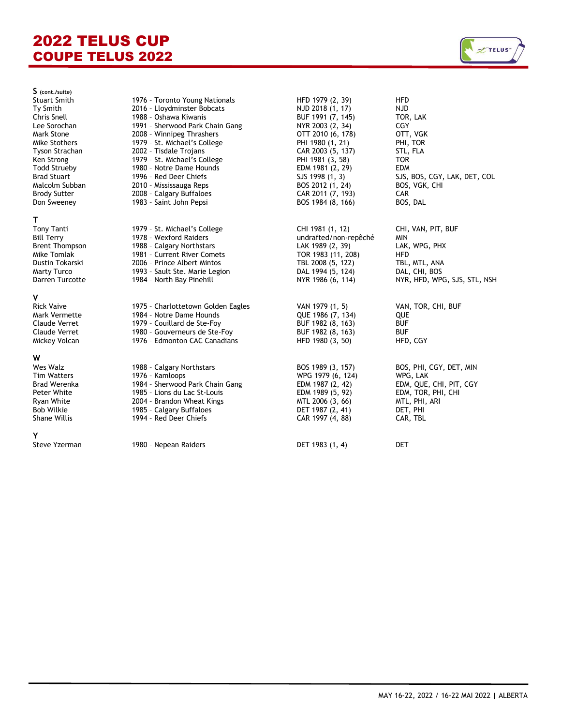

**S (cont./suite)** Stuart Smith<br>Ty Smith Lee Sorochan<br>Mark Stone Mike Stothers Tyson Strachan Todd Strueby<br>Brad Stuart Malcolm Subban Brody Sutter Don Sweeney

## **T**

Y<br>Steve Yzerman

| $5 - 10011$            |                                    |                       |                              |
|------------------------|------------------------------------|-----------------------|------------------------------|
| <b>Stuart Smith</b>    | 1976 - Toronto Young Nationals     | HFD 1979 (2, 39)      | <b>HFD</b>                   |
| Ty Smith               | 2016 - Lloydminster Bobcats        | NJD 2018 (1, 17)      | <b>NJD</b>                   |
| Chris Snell            | 1988 - Oshawa Kiwanis              | BUF 1991 (7, 145)     | TOR, LAK                     |
| Lee Sorochan           | 1991 - Sherwood Park Chain Gang    | NYR 2003 (2, 34)      | <b>CGY</b>                   |
| Mark Stone             | 2008 - Winnipeg Thrashers          | OTT 2010 (6, 178)     | OTT, VGK                     |
| Mike Stothers          | 1979 - St. Michael's College       | PHI 1980 (1, 21)      | PHI, TOR                     |
| Tyson Strachan         | 2002 - Tisdale Trojans             | CAR 2003 (5, 137)     | STL, FLA                     |
| Ken Strong             | 1979 - St. Michael's College       | PHI 1981 (3, 58)      | <b>TOR</b>                   |
| <b>Todd Strueby</b>    | 1980 - Notre Dame Hounds           | EDM 1981 (2, 29)      | <b>EDM</b>                   |
| <b>Brad Stuart</b>     | 1996 - Red Deer Chiefs             | SJS 1998 (1, 3)       | SJS, BOS, CGY, LAK, DET, COL |
| Malcolm Subban         | 2010 - Mississauga Reps            | BOS 2012 (1, 24)      | BOS, VGK, CHI                |
| <b>Brody Sutter</b>    | 2008 - Calgary Buffaloes           | CAR 2011 (7, 193)     | CAR                          |
| Don Sweeney            | 1983 - Saint John Pepsi            | BOS 1984 (8, 166)     | BOS, DAL                     |
|                        |                                    |                       |                              |
| т<br><b>Tony Tanti</b> | 1979 - St. Michael's College       | CHI 1981 (1, 12)      | CHI, VAN, PIT, BUF           |
| <b>Bill Terry</b>      | 1978 - Wexford Raiders             | undrafted/non-repêché | <b>MIN</b>                   |
| <b>Brent Thompson</b>  | 1988 - Calgary Northstars          | LAK 1989 (2, 39)      | LAK, WPG, PHX                |
| Mike Tomlak            | 1981 - Current River Comets        | TOR 1983 (11, 208)    | <b>HFD</b>                   |
| Dustin Tokarski        | 2006 - Prince Albert Mintos        | TBL 2008 (5, 122)     | TBL, MTL, ANA                |
| <b>Marty Turco</b>     | 1993 - Sault Ste. Marie Legion     | DAL 1994 (5, 124)     | DAL, CHI, BOS                |
| Darren Turcotte        | 1984 - North Bay Pinehill          | NYR 1986 (6, 114)     | NYR, HFD, WPG, SJS, STL, NSH |
| ۷                      |                                    |                       |                              |
| <b>Rick Vaive</b>      | 1975 - Charlottetown Golden Eagles | VAN 1979 (1, 5)       | VAN, TOR, CHI, BUF           |
| Mark Vermette          | 1984 - Notre Dame Hounds           | QUE 1986 (7, 134)     | QUE                          |
| Claude Verret          | 1979 - Couillard de Ste-Foy        | BUF 1982 (8, 163)     | <b>BUF</b>                   |
| <b>Claude Verret</b>   | 1980 - Gouverneurs de Ste-Foy      | BUF 1982 (8, 163)     | <b>BUF</b>                   |
| Mickey Volcan          | 1976 - Edmonton CAC Canadians      | HFD 1980 (3, 50)      | HFD, CGY                     |
|                        |                                    |                       |                              |
| W                      |                                    |                       |                              |
| Wes Walz               | 1988 - Calgary Northstars          | BOS 1989 (3, 157)     | BOS, PHI, CGY, DET, MIN      |
| <b>Tim Watters</b>     | 1976 - Kamloops                    | WPG 1979 (6, 124)     | WPG, LAK                     |
| Brad Werenka           | 1984 - Sherwood Park Chain Gang    | EDM 1987 (2, 42)      | EDM, QUE, CHI, PIT, CGY      |
| Peter White            | 1985 - Lions du Lac St-Louis       | EDM 1989 (5, 92)      | EDM, TOR, PHI, CHI           |
| Ryan White             | 2004 - Brandon Wheat Kings         | MTL 2006 (3, 66)      | MTL, PHI, ARI                |
| <b>Bob Wilkie</b>      | 1985 - Calgary Buffaloes           | DET 1987 (2, 41)      | DET, PHI                     |
| <b>Shane Willis</b>    | 1994 - Red Deer Chiefs             | CAR 1997 (4, 88)      | CAR, TBL                     |
| Y                      |                                    |                       |                              |
| Steve Yzerman          | 1980 - Nepean Raiders              | DET 1983 (1, 4)       | <b>DET</b>                   |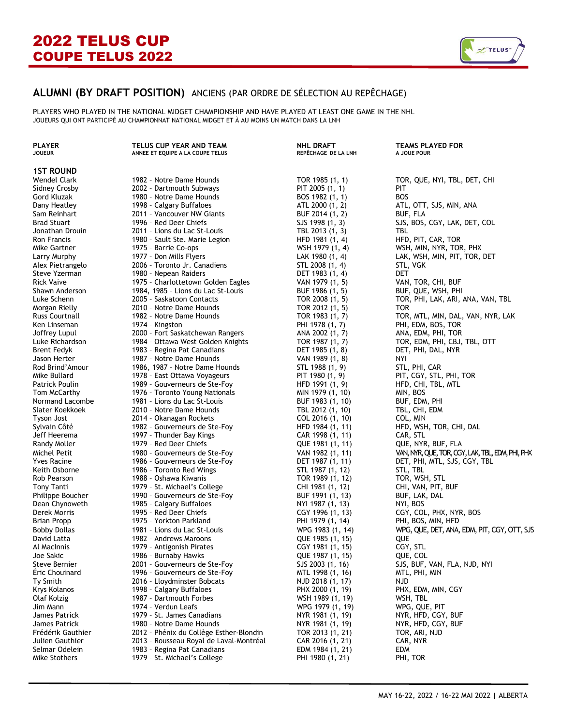

## **ALUMNI (BY DRAFT POSITION)** ANCIENS (PAR ORDRE DE SÉLECTION AU REPÊCHAGE)

PLAYERS WHO PLAYED IN THE NATIONAL MIDGET CHAMPIONSHIP AND HAVE PLAYED AT LEAST ONE GAME IN THE NHL JOUEURS QUI ONT PARTICIPÉ AU CHAMPIONNAT NATIONAL MIDGET ET À AU MOINS UN MATCH DANS LA LNH

### **1ST ROUND**

**ANNEE ET EQUIPE A LA COUPE TELUS** Wendel Clark 1982 - Notre Dame Hounds TOR 1985 (1, 1) TOR, QUE, NYI, TBL, DET, CHI Sidney Crosby 2002 – Dartmouth Subways PIT 2005 (1, 1) PIT Gord Kluzak 1980 - Notre Dame Hounds<br>1998 - Calgary Buffaloes 1998 - Dany Heatley Dany Heatley 2011 - 1998 - Calgary Buffaloes (1998) - ATL 2000 (1, 2) ATL, OTT, SJS, MIN, ANA<br>
During Buffalog (1, 2) Buffalog (1, 2) Buffalog (1, 2) Buffalog (1, 2) Buffalog (1, 2) Buffalog (1, 2) Buffalo 2011 - Vancouver NW Giants BUF 2014 (1, 2) BUF, FLA Brad Stuart 1996 - Red Deer Chiefs Sus Communications (1, 3) SJS, BOS, CGY, LAK, DET, COL Contrations Communications of the Communications of the Communications of the Communications of the Contrations of the Contrations o 2011 - Lions du Lac St-Louis TBL 2013 (1, 3) TBL Ron Francis 1980 – Sault Ste. Marie Legion HFD 1981 (1, 4) HFD, PIT, CAR, TOR Mike Gartner 1975 – Barrie Co-ops WSH 1979 (1, 4) WSH, MIN, NYR, TOR, PHX Larry Murphy 1977 - Don Mills Flyers LAK 1980 (1, 4) LAK, WSH, MIN, PIT, TOR, DET Alex Pietrangelo 2006 – Toronto Jr. Canadiens STL 2008 (1, 4) STL, VGK Steve Yzerman 1980 – Nepean Raiders DET 1983 (1, 4) DET 1975 - Charlottetown Golden Eagles VAN 1975 VAN 1979 (1, 5) VAN 1979 (1, 5) VAN 1979 (1, 5) VAN 1979 (1, 5) VA Shawn Anderson 1984, 1985 - Lions du Lac St-Louis BUF 1986 (1, 5) BUF, QUE, WSH, PHI Luke Schenn 2005 – Saskatoon Contacts TOR 2008 (1, 5) TOR, PHI, LAK, ARI, ANA, VAN, TBL Morgan Rielly **2010** - Notre Dame Hounds **TOR 2012** (1, 5) TOR Russ Courtnall 1982 - Notre Dame Hounds TOR 1983 (1, 7) TOR, MTL, MIN, DAL, VAN, NYR, LAK Ken Linseman 1974 - Kingston PHI 1978 (1, 7) PHI 1978 (1, 7) PHI, EDM, BOS, TOR Joffrey Lupul 2000 – Fort Saskatchewan Rangers ANA 2002 (1, 7) ANA, EDM, PHI, TOR 1984 - Ottawa West Golden Knights Brent Fedyk 1983 – Regina Pat Canadians DET 1985 (1, 8) DET, PHI, DAL, NYR 1987 - Notre Dame Hounds **VAN 1989 (1, 8)** NYI Rod Brind'Amour 1986, 1987 - Notre Dame Hounds STL 1988 (1, 9) STL, PHI, CAR<br>1978 - East Ottawa Vovageurs PHT 1980 (1, 9) PIT LGGY, STL, PHI, TOR Mike Bullard 1978 - East Ottawa Voyageurs PIT 1980 (1980 F Patrick Poulin 1989 - Gouverneurs de Ste-Foy Fatrick 1991 (1, 9) HFD, CHI, TBL, MTL Prom McCarthy 1976 - Toronto Young Nationals Father Munities 1976 - Toronto Young Nationals (Munities 1979 (1, 10) MIN, BOS 1976 - Toronto Young Nationals Normand Lacombe 1981 - Lions du Lac St-Louis 1981 – BUF 1983 (1, 10) BUF, EDM, PHI 1983 (1, 10) BUF, EDM, PHI<br>Slater Koekkoek 1980 - 2010 - Notre Dame Hounds 1980 1981 - TBL 2012 (1, 10) TBL. CHI. EDM Slater Koekkoek 2010 – Notre Dame Hounds TBL 2012 (1, 10) TBL, CHI, EDM Tyson Jost 2014 – Okanagan Rockets COL 2016 (1, 10) COL, MIN 1982 - Gouverneurs de Ste-Foy **HFD 1984 (1, 11)** HFD, WSH, TOR, CHI, DAL Jeff Heerema 1997 – Thunder Bay Kings CAR 1998 (1, 11) CAR, STL Randy Moller 1979 - Red Deer Chiefs (1981 – Contained 1979 – Red Deer Chiefs (1, 11) Que 1980 (1, 11) Que, NYR<br>Michel Petit 1980 - Gouverneurs de Ste-Foy Yves Racine 1986 – Gouverneurs de Ste-Foy DET 1987 (1, 11) DET, PHI, MTL, SJS, CGY, TBL 1986 - Toronto Red Wings Rob Pearson **1988 - Oshawa Kiwanis TOR 1989 (1, 12)** TOR, WSH, STL Tony Tanti 1979 - St. Michael's College CHI 1981 (1, 12) CHI, VAN, PIT, BUF Philippe Boucher 1990 – Gouverneurs de Ste-Foy BUF 1991 (1, 13) BUF, LAK, DAL 1985 - Calgary Buffaloes NYI 1985 - Calgary Buffaloes NYI 1987 (1, 13) NY Derek Morris 1995 – Red Deer Chiefs CGY 1996 (1, 13) CGY, COL, PHX, NYR, BOS Brian Propp 1975 - Yorkton Parkland David Latta 1982 - Andrews Maroons 1982 - Andrews Maroons 1985 (1, 15) QUE Al MacInnis 1979 – Antigonish Pirates CGY 1981 (1, 15) CGY, STL Joe Sakic 1986 – Burnaby Hawks QUE 1987 (1, 15) QUE, COL 2001 - Gouverneurs de Ste-Foy Éric Chouinard 1996 – Gouverneurs de Ste-Foy MTL 1998 (1, 16) MTL, PHI, MIN Ty Smith 2016 – Lloydminster Bobcats NJD 2018 (1, 17) NJD Krys Kolanos 1998 – Calgary Buffaloes PHX 2000 (1, 19) PHX, EDM, MIN, CGY Olaf Kolzig 1987 – Dartmouth Forbes WSH 1989 (1, 19) WSH, TBL Jim Mann 1974 – Verdun Leafs WPG 1979 (1, 19) WPG, QUE, PIT 1979 - St. James Canadians NYR 1979 - St. James Canadians NYR 1991 (1, 19) NYR 1981 (1, 19) NYR 1991 (1, 19) N James Patrick 1980 – Notre Dame Hounds NYR 1981 (1, 19) NYR, HFD, CGY, BUF Frédérik Gauthier 2012 - Phénix du Collège Esther-Blondin T Julien Gauthier 2013 – Rousseau Royal de Laval-Montréal CAR 2016 (1, 21) CAR, NYR

1983 - Regina Pat Canadians **EDM 1983** - Regina Pat Canadians **EDM 1984** 

Mike Stothers **1979 - St. Michael's College** PHI 1980 (1, 21) PHI, TOR

| <b>PLAYER</b><br><b>JOUEUR</b> | TELUS CUP YEAR AND TEAM<br>ANNEE ET EQUIPE A LA COUPE TELUS | NHL DRAFT<br>REPÊCHAGE DE LA LNH | <b>TEAMS PLAYED FOR</b><br>A JOUE POUR |
|--------------------------------|-------------------------------------------------------------|----------------------------------|----------------------------------------|
| <b>1ST ROUND</b>               |                                                             |                                  |                                        |
| Wendel Clark                   | 1982 - Notre Dame Hounds                                    | TOR 1985 (1, 1)                  | TOR, QUE, NYI, TBL,                    |
| Sidney Crosby                  | 2002 - Dartmouth Subways                                    | PIT 2005 (1, 1)                  | PIT                                    |
| Gord Kluzak                    | 1980 - Notre Dame Hounds                                    | BOS 1982 (1, 1)                  | <b>BOS</b>                             |
| Dany Heatley                   | 1998 - Calgary Buffaloes                                    | ATL 2000 (1, 2)                  | ATL, OTT, SJS, MIN,                    |
| Sam Reinhart                   | 2011 - Vancouver NW Giants                                  | BUF 2014 (1, 2)                  | BUF, FLA                               |
| <b>Brad Stuart</b>             | 1996 - Red Deer Chiefs                                      | SJS 1998 (1, 3)                  | SJS, BOS, CGY, LAK,                    |
| Jonathan Drouin                | 2011 - Lions du Lac St-Louis                                | TBL 2013 (1, 3)                  | TBL                                    |
| Ron Francis                    | 1980 - Sault Ste. Marie Legion                              | HFD 1981 (1, 4)                  | HFD, PIT, CAR, TOR                     |
| Mike Gartner                   | 1975 - Barrie Co-ops                                        | WSH 1979 (1, 4)                  | WSH, MIN, NYR, TOR                     |
| Larry Murphy                   | 1977 - Don Mills Flyers                                     | LAK 1980 (1, 4)                  | LAK, WSH, MIN, PIT,                    |
| Alex Pietrangelo               | 2006 - Toronto Jr. Canadiens                                | STL 2008 (1, 4)                  | STL, VGK                               |
| Steve Yzerman                  | 1980 - Nepean Raiders                                       | DET 1983 (1, 4)                  | DET                                    |
| Rick Vaive                     | 1975 - Charlottetown Golden Eagles                          | VAN 1979 (1, 5)                  | VAN, TOR, CHI, BUF                     |
| Shawn Anderson                 | 1984, 1985 - Lions du Lac St-Louis                          | BUF 1986 (1, 5)                  | BUF, QUE, WSH, PHI                     |
| Luke Schenn                    | 2005 - Saskatoon Contacts                                   | TOR 2008 (1, 5)                  | TOR, PHI, LAK, ARI,                    |
| Morgan Rielly                  | 2010 - Notre Dame Hounds                                    | TOR 2012 (1, 5)                  | <b>TOR</b>                             |
| Russ Courtnall                 | 1982 - Notre Dame Hounds                                    | TOR 1983 (1, 7)                  | TOR, MTL, MIN, DAL,                    |
| Ken Linseman                   | 1974 - Kingston                                             | PHI 1978 (1, 7)                  | PHI, EDM, BOS, TOR                     |
| Joffrey Lupul                  | 2000 - Fort Saskatchewan Rangers                            | ANA 2002 (1, 7)                  | ANA, EDM, PHI, TOR                     |
| Luke Richardson                | 1984 - Ottawa West Golden Knights                           | TOR 1987 (1, 7)                  | TOR, EDM, PHI, CBJ,                    |
| Brent Fedyk                    | 1983 - Regina Pat Canadians                                 | DET 1985 (1, 8)                  | DET, PHI, DAL, NYR                     |
| Jason Herter                   | 1987 - Notre Dame Hounds                                    | VAN 1989 (1, 8)                  | NYI                                    |
| Rod Brind'Amour                | 1986, 1987 - Notre Dame Hounds                              | STL 1988 (1, 9)                  | STL, PHI, CAR                          |
| Mike Bullard                   | 1978 - East Ottawa Voyageurs                                | PIT 1980 (1, 9)                  | PIT, CGY, STL, PHI,                    |
| Patrick Poulin                 | 1989 - Gouverneurs de Ste-Foy                               | HFD 1991 (1, 9)                  | HFD, CHI, TBL, MTL                     |
| Tom McCarthy                   | 1976 - Toronto Young Nationals                              | MIN 1979 (1, 10)                 | MIN, BOS                               |
| Normand Lacombe                | 1981 - Lions du Lac St-Louis                                | BUF 1983 (1, 10)                 | BUF, EDM, PHI                          |
| Slater Koekkoek                | 2010 - Notre Dame Hounds                                    | TBL 2012 (1, 10)                 | TBL, CHI, EDM                          |
| <b>Tyson Jost</b>              | 2014 - Okanagan Rockets                                     | COL 2016 (1, 10)                 | COL, MIN                               |
| Sylvain Côté                   | 1982 - Gouverneurs de Ste-Foy                               | HFD 1984 (1, 11)                 | HFD, WSH, TOR, CHI                     |
| Jeff Heerema                   | 1997 - Thunder Bay Kings                                    | CAR 1998 (1, 11)                 | CAR, STL                               |
| Randy Moller                   | 1979 - Red Deer Chiefs                                      | QUE 1981 (1, 11)                 | QUE, NYR, BUF, FLA                     |
| Michel Petit                   | 1980 - Gouverneurs de Ste-Foy                               | VAN 1982 (1, 11)                 | VAN, NYR, QUE, TOR, CG                 |
| <b>Yves Racine</b>             | 1986 - Gouverneurs de Ste-Foy                               | DET 1987 (1, 11)                 | DET, PHI, MTL, SJS,                    |
| Keith Osborne                  | 1986 - Toronto Red Wings                                    | STL 1987 (1, 12)                 | STL, TBL                               |
| Rob Pearson                    | 1988 - Oshawa Kiwanis                                       | TOR 1989 (1, 12)                 | TOR, WSH, STL                          |
| Tony Tanti                     | 1979 - St. Michael's College                                | CHI 1981 (1, 12)                 | CHI, VAN, PIT, BUF                     |
| Philippe Boucher               | 1990 - Gouverneurs de Ste-Foy                               | BUF 1991 (1, 13)                 | BUF, LAK, DAL                          |
| Dean Chynoweth                 | 1985 - Calgary Buffaloes                                    | NYI 1987 (1, 13)                 | NYI, BOS                               |
| Derek Morris                   | 1995 - Red Deer Chiefs                                      | CGY 1996 (1, 13)                 | CGY, COL, PHX, NYR                     |
| Brian Propp                    | 1975 - Yorkton Parkland                                     | PHI 1979 (1, 14)                 | PHI, BOS, MIN, HFD                     |
| Bobby Dollas                   | 1981 - Lions du Lac St-Louis                                | WPG 1983 (1, 14)                 | WPG, QUE, DET, ANA, I                  |
| David Latta                    | 1982 - Andrews Maroons                                      | QUE 1985 (1, 15)                 | QUE                                    |
| Al MacInnis                    | 1979 - Antigonish Pirates                                   | CGY 1981 (1, 15)                 | CGY, STL                               |
| Joe Sakic                      | 1986 - Burnaby Hawks                                        | QUE 1987 (1, 15)                 | QUE, COL                               |
| Steve Bernier                  | 2001 - Gouverneurs de Ste-Foy                               | SJS 2003 (1, 16)                 | SJS, BUF, VAN, FLA,                    |
| Eric Chouinard                 | 1996 - Gouverneurs de Ste-Foy                               | MTL 1998 (1, 16)                 | MTL, PHI, MIN                          |
| Ty Smith                       | 2016 - Lloydminster Bobcats                                 | NJD 2018 (1, 17)                 | NJD                                    |
| Krys Kolanos                   | 1998 - Calgary Buffaloes                                    | PHX 2000 (1, 19)                 | PHX, EDM, MIN, CGY                     |
| Olaf Kolzig                    | 1987 - Dartmouth Forbes                                     | WSH 1989 (1, 19)                 | WSH, TBL                               |
| Jim Mann                       | 1974 - Verdun Leafs                                         | WPG 1979 (1, 19)                 | WPG, QUE, PIT                          |
| James Patrick                  | 1979 - St. James Canadians                                  | NYR 1981 (1, 19)                 | NYR, HFD, CGY, BUF                     |
| James Patrick                  | 1980 - Notre Dame Hounds                                    | NYR 1981 (1, 19)                 | NYR, HFD, CGY, BUF                     |
| Frédérik Gauthier              | 2012 - Phénix du Collège Esther-Blondin                     | TOR 2013 (1, 21)                 | TOR, ARI, NJD                          |
| Julien Gauthier                | 2013 - Rousseau Royal de Laval-Montréal                     | CAR 2016 (1, 21)                 | CAR, NYR                               |
| Selmar Odelein                 | 1983 - Regina Pat Canadians                                 | EDM 1984 (1, 21)                 | <b>EDM</b>                             |
|                                |                                                             |                                  |                                        |

VAN 1982 (1, 11) VAN, NYR, QUE, TOR, CGY, LAK, TBL, EDM, PHI, PHX Bobby Dollas 1981 - Lions du Lac St-Louis WPG 1983 (1, 14) WPG, QUE, DET, ANA, EDM, PIT, CGY, OTT, SJS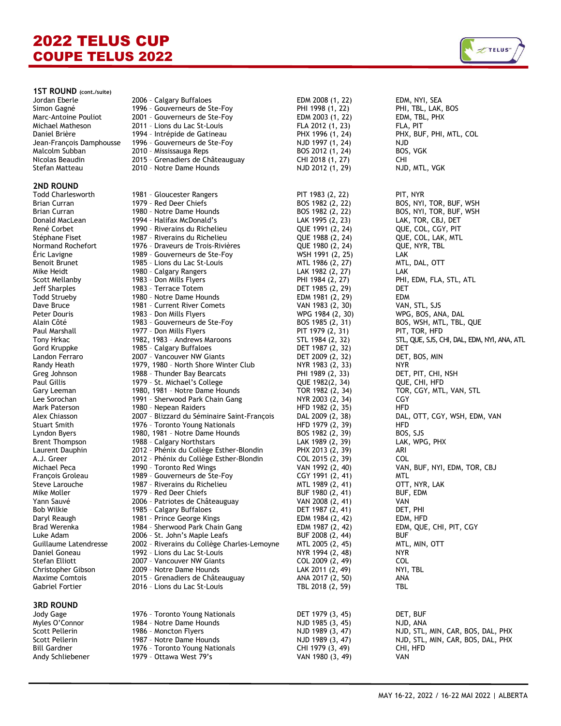

### **2ND ROUND**

## **3RD ROUND**

Bill Gardner 1976 - Toronto Young Nationals CHI 1979 (3, 49) CHI, HFD Andy Schliebener 1979 - Ottawa West 79's VAN 1980 (3, 49) VAN VAN

| 1ST ROUND (cont./suite)         |                                                        |                                      |                                                    |
|---------------------------------|--------------------------------------------------------|--------------------------------------|----------------------------------------------------|
| Jordan Eberle                   | 2006 - Calgary Buffaloes                               | EDM 2008 (1, 22)                     | EDM, NYI, SEA                                      |
| Simon Gagné                     | 1996 - Gouverneurs de Ste-Foy                          | PHI 1998 (1, 22)                     | PHI, TBL, LAK, BOS                                 |
| Marc-Antoine Pouliot            | 2001 - Gouverneurs de Ste-Foy                          | EDM 2003 (1, 22)                     | EDM, TBL, PHX                                      |
| Michael Matheson                | 2011 - Lions du Lac St-Louis                           | FLA 2012 (1, 23)                     | FLA, PIT                                           |
| Daniel Brière                   | 1994 - Intrépide de Gatineau                           | PHX 1996 (1, 24)                     | PHX, BUF, PHI, MTL, COL                            |
| Jean-François Damphousse        | 1996 - Gouverneurs de Ste-Foy                          | NJD 1997 (1, 24)                     | <b>NJD</b>                                         |
| Malcolm Subban                  | 2010 - Mississauga Reps                                | BOS 2012 (1, 24)                     | BOS, VGK                                           |
| Nicolas Beaudin                 | 2015 - Grenadiers de Châteauguay                       | CHI 2018 (1, 27)                     | CHI                                                |
| Stefan Matteau                  | 2010 - Notre Dame Hounds                               | NJD 2012 (1, 29)                     | NJD, MTL, VGK                                      |
| <b>2ND ROUND</b>                |                                                        |                                      |                                                    |
| <b>Todd Charlesworth</b>        | 1981 - Gloucester Rangers                              | PIT 1983 (2, 22)                     | PIT, NYR                                           |
| Brian Curran                    | 1979 - Red Deer Chiefs                                 | BOS 1982 (2, 22)                     | BOS, NYI, TOR, BUF, WSH                            |
| Brian Curran                    | 1980 - Notre Dame Hounds                               | BOS 1982 (2, 22)                     | BOS, NYI, TOR, BUF, WSH                            |
| Donald MacLean                  | 1994 - Halifax McDonald's                              | LAK 1995 (2, 23)                     | LAK, TOR, CBJ, DET                                 |
| René Corbet                     | 1990 - Riverains du Richelieu                          | QUE 1991 (2, 24)                     | QUE, COL, CGY, PIT                                 |
| Stéphane Fiset                  | 1987 - Riverains du Richelieu                          | QUE 1988 (2, 24)                     | QUE, COL, LAK, MTL                                 |
| Normand Rochefort               | 1976 - Draveurs de Trois-Rivières                      | QUE 1980 (2, 24)                     | QUE, NYR, TBL                                      |
| Eric Lavigne                    | 1989 - Gouverneurs de Ste-Foy                          | WSH 1991 (2, 25)                     | LAK                                                |
| <b>Benoit Brunet</b>            | 1985 - Lions du Lac St-Louis                           | MTL 1986 (2, 27)                     |                                                    |
| Mike Heidt                      | 1980 - Calgary Rangers                                 | LAK 1982 (2, 27)                     | MTL, DAL, OTT<br>LAK                               |
|                                 | 1983 - Don Mills Flyers                                | PHI 1984 (2, 27)                     | PHI, EDM, FLA, STL, ATL                            |
| Scott Mellanby<br>Jeff Sharples | 1983 - Terrace Totem                                   | DET 1985 (2, 29)                     | DET                                                |
|                                 |                                                        |                                      |                                                    |
| Todd Strueby                    | 1980 - Notre Dame Hounds                               | EDM 1981 (2, 29)                     | <b>EDM</b>                                         |
| Dave Bruce                      | 1981 - Current River Comets<br>1983 - Don Mills Flyers | VAN 1983 (2, 30)                     | VAN, STL, SJS                                      |
| Peter Douris<br>Alain Côté      |                                                        | WPG 1984 (2, 30)<br>BOS 1985 (2, 31) | WPG, BOS, ANA, DAL<br>BOS, WSH, MTL, TBL, QUE      |
|                                 | 1983 - Gouverneurs de Ste-Foy                          | PIT 1979 (2, 31)                     |                                                    |
| Paul Marshall                   | 1977 - Don Mills Flyers                                |                                      | PIT, TOR, HFD                                      |
| Tony Hrkac                      | 1982, 1983 - Andrews Maroons                           | STL 1984 (2, 32)                     | STL, QUE, SJS, CHI, DAL, EDM, NYI, ANA, ATL<br>DET |
| Gord Kruppke<br>Landon Ferraro  | 1985 - Calgary Buffaloes<br>2007 - Vancouver NW Giants | DET 1987 (2, 32)<br>DET 2009 (2, 32) |                                                    |
| Randy Heath                     | 1979, 1980 - North Shore Winter Club                   | NYR 1983 (2, 33)                     | DET, BOS, MIN<br><b>NYR</b>                        |
|                                 | 1988 - Thunder Bay Bearcats                            | PHI 1989 (2, 33)                     |                                                    |
| Greg Johnson<br>Paul Gillis     | 1979 - St. Michael's College                           |                                      | DET, PIT, CHI, NSH<br>QUE, CHI, HFD                |
| Gary Leeman                     | 1980, 1981 - Notre Dame Hounds                         | QUE 1982(2, 34)<br>TOR 1982 (2, 34)  | TOR, CGY, MTL, VAN, STL                            |
| Lee Sorochan                    | 1991 - Sherwood Park Chain Gang                        | NYR 2003 (2, 34)                     | CGY                                                |
| Mark Paterson                   | 1980 - Nepean Raiders                                  | HFD 1982 (2, 35)                     | HFD                                                |
| Alex Chiasson                   | 2007 - Blizzard du Séminaire Saint-François            | DAL 2009 (2, 38)                     | DAL, OTT, CGY, WSH, EDM, VAN                       |
| Stuart Smith                    | 1976 - Toronto Young Nationals                         | HFD 1979 (2, 39)                     | HFD                                                |
| Lyndon Byers                    | 1980, 1981 - Notre Dame Hounds                         | BOS 1982 (2, 39)                     | BOS, SJS                                           |
| <b>Brent Thompson</b>           | 1988 - Calgary Northstars                              | LAK 1989 (2, 39)                     | LAK, WPG, PHX                                      |
| Laurent Dauphin                 | 2012 - Phénix du Collège Esther-Blondin                | PHX 2013 (2, 39)                     | ARI                                                |
| A.J. Greer                      | 2012 - Phénix du Collège Esther-Blondin                | COL 2015 (2, 39)                     | COL                                                |
| Michael Peca                    | 1990 - Toronto Red Wings                               | VAN 1992 (2, 40)                     | VAN, BUF, NYI, EDM, TOR, CBJ                       |
| François Groleau                | 1989 - Gouverneurs de Ste-Foy                          | CGY 1991 (2, 41)                     | <b>MTL</b>                                         |
| Steve Larouche                  | 1987 - Riverains du Richelieu                          | MTL 1989 (2, 41)                     | OTT, NYR, LAK                                      |
| Mike Moller                     | 1979 - Red Deer Chiefs                                 | BUF 1980 (2, 41)                     | BUF, EDM                                           |
| Yann Sauvé                      | 2006 - Patriotes de Châteauguay                        | VAN 2008 (2, 41)                     | VAN                                                |
| <b>Bob Wilkie</b>               | 1985 - Calgary Buffaloes                               | DET 1987 (2, 41)                     | DET, PHI                                           |
| Daryl Reaugh                    | 1981 - Prince George Kings                             | EDM 1984 (2, 42)                     | EDM, HFD                                           |
| Brad Werenka                    | 1984 - Sherwood Park Chain Gang                        | EDM 1987 (2, 42)                     | EDM, QUE, CHI, PIT, CGY                            |
| Luke Adam                       | 2006 - St. John's Maple Leafs                          | BUF 2008 (2, 44)                     | <b>BUF</b>                                         |
| Guillaume Latendresse           | 2002 - Riverains du Collège Charles-Lemoyne            | MTL 2005 (2, 45)                     | MTL, MIN, OTT                                      |
| Daniel Goneau                   | 1992 - Lions du Lac St-Louis                           | NYR 1994 (2, 48)                     | NYR.                                               |
| Stefan Elliott                  | 2007 - Vancouver NW Giants                             | COL 2009 (2, 49)                     | COL.                                               |
| Christopher Gibson              | 2009 - Notre Dame Hounds                               | LAK 2011 (2, 49)                     | NYI, TBL                                           |
| Maxime Comtois                  | 2015 - Grenadiers de Châteauguay                       | ANA 2017 (2, 50)                     | ANA                                                |
| Gabriel Fortier                 | 2016 - Lions du Lac St-Louis                           | TBL 2018 (2, 59)                     | TBL                                                |
| <b>3RD ROUND</b>                |                                                        |                                      |                                                    |
| Jody Gage                       | 1976 - Toronto Young Nationals                         | DET 1979 (3, 45)                     | DET, BUF                                           |
| Myles O'Connor                  | 1984 - Notre Dame Hounds                               | NJD 1985 (3, 45)                     | NJD, ANA                                           |
|                                 |                                                        |                                      |                                                    |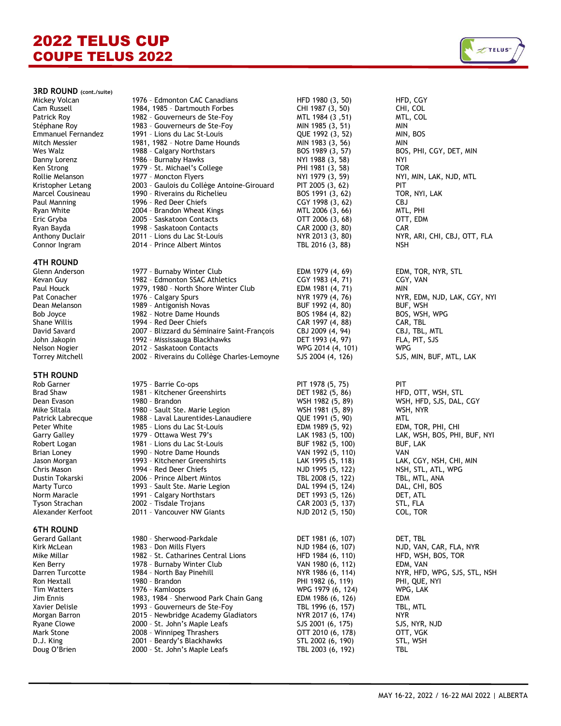## **3RD ROUND (cont./suite)**

# **4TH ROUND**

## **5TH ROUND**

## **6TH ROUND**

Tim Watters 1976 – Kamloops WPG 1979 (6, 124) WPG, LAK Jim Ennis 1983, 1984 – Sherwood Park Chain Gang EDM 1986 (6, 126) EDM Xavier Delisle 1993 – Gouverneurs de Ste-Foy TBL 1996 (6, 157) TBL, MTL Ryane Clowe 2000 – St. John's Maple Leafs SJS 2001 (6, 175) SJS, NYR, NJD Mark Stone 2008 - Winnipeg Thrashers<br>1. D.J. King 2001 - Beardy's Blackhawks D.J. King 2001 – Beardy's Blackhawks STL 2002 (6, 190) STL, WSH

| Mickey Volcan                           | 1976 - Edmonton CAC Canadians                                            | HFD 1980 (3, 50)                       | HFD, CGY                       |
|-----------------------------------------|--------------------------------------------------------------------------|----------------------------------------|--------------------------------|
| Cam Russell                             | 1984, 1985 - Dartmouth Forbes                                            | CHI 1987 (3, 50)                       | CHI, COL                       |
| Patrick Roy                             | 1982 - Gouverneurs de Ste-Foy                                            | MTL 1984 (3, 51)                       | MTL, COL                       |
| Stéphane Roy                            | 1983 - Gouverneurs de Ste-Foy                                            | MIN 1985 (3, 51)                       | MIN                            |
| Emmanuel Fernandez                      | 1991 - Lions du Lac St-Louis                                             | QUE 1992 (3, 52)                       | MIN, BOS                       |
| Mitch Messier                           | 1981, 1982 - Notre Dame Hounds                                           | MIN 1983 (3, 56)                       | <b>MIN</b>                     |
| Wes Walz                                | 1988 - Calgary Northstars                                                | BOS 1989 (3, 57)                       | BOS, PHI, CGY, DET, MIN        |
| Danny Lorenz                            | 1986 - Burnaby Hawks                                                     | NYI 1988 (3, 58)                       | <b>NYI</b>                     |
| Ken Strong                              | 1979 - St. Michael's College                                             | PHI 1981 (3, 58)                       | <b>TOR</b>                     |
| Rollie Melanson                         | 1977 - Moncton Flyers                                                    | NYI 1979 (3, 59)                       | NYI, MIN, LAK, NJD, MTL        |
| Kristopher Letang                       | 2003 - Gaulois du Collège Antoine-Girouard                               | PIT 2005 (3, 62)                       | PIT                            |
| Marcel Cousineau                        | 1990 - Riverains du Richelieu                                            | BOS 1991 (3, 62)                       | TOR, NYI, LAK                  |
| Paul Manning                            | 1996 - Red Deer Chiefs                                                   | CGY 1998 (3, 62)                       | <b>CBJ</b>                     |
| Ryan White<br>Eric Gryba                | 2004 - Brandon Wheat Kings                                               | MTL 2006 (3, 66)<br>OTT 2006 (3, 68)   | MTL, PHI                       |
| Ryan Bayda                              | 2005 - Saskatoon Contacts<br>1998 - Saskatoon Contacts                   | CAR 2000 (3, 80)                       | OTT, EDM<br><b>CAR</b>         |
| Anthony Duclair                         | 2011 - Lions du Lac St-Louis                                             | NYR 2013 (3, 80)                       | NYR, ARI, CHI, CBJ, OTT, FLA   |
| Connor Ingram                           | 2014 - Prince Albert Mintos                                              | TBL 2016 (3, 88)                       | <b>NSH</b>                     |
|                                         |                                                                          |                                        |                                |
| <b>4TH ROUND</b>                        |                                                                          |                                        |                                |
| Glenn Anderson                          | 1977 - Burnaby Winter Club                                               | EDM 1979 (4, 69)                       | EDM, TOR, NYR, STL             |
| Kevan Guy                               | 1982 - Edmonton SSAC Athletics                                           | CGY 1983 (4, 71)                       | CGY, VAN                       |
| Paul Houck                              | 1979, 1980 - North Shore Winter Club                                     | EDM 1981 (4, 71)                       | MIN                            |
| Pat Conacher                            | 1976 - Calgary Spurs                                                     | NYR 1979 (4, 76)                       | NYR, EDM, NJD, LAK, CGY, NYI   |
| Dean Melanson                           | 1989 - Antigonish Novas                                                  | BUF 1992 (4, 80)                       | BUF, WSH                       |
| <b>Bob Joyce</b>                        | 1982 - Notre Dame Hounds                                                 | BOS 1984 (4, 82)                       | BOS, WSH, WPG                  |
| Shane Willis                            | 1994 - Red Deer Chiefs                                                   | CAR 1997 (4, 88)                       | CAR, TBL                       |
| David Savard                            | 2007 - Blizzard du Séminaire Saint-François                              | CBJ 2009 (4, 94)                       | CBJ, TBL, MTL                  |
| John Jakopin                            | 1992 - Mississauga Blackhawks                                            | DET 1993 (4, 97)                       | FLA, PIT, SJS                  |
| Nelson Nogier<br><b>Torrey Mitchell</b> | 2012 - Saskatoon Contacts<br>2002 - Riverains du Collège Charles-Lemoyne | WPG 2014 (4, 101)<br>SJS 2004 (4, 126) | WPG<br>SJS, MIN, BUF, MTL, LAK |
|                                         |                                                                          |                                        |                                |
| <b>5TH ROUND</b>                        |                                                                          |                                        |                                |
| Rob Garner                              | 1975 - Barrie Co-ops                                                     | PIT 1978 (5, 75)                       | PIT                            |
| Brad Shaw                               | 1981 - Kitchener Greenshirts                                             | DET 1982 (5, 86)                       | HFD, OTT, WSH, STL             |
| Dean Evason                             | 1980 - Brandon                                                           | WSH 1982 (5, 89)                       | WSH, HFD, SJS, DAL, CGY        |
| Mike Siltala<br>Patrick Labrecque       | 1980 - Sault Ste. Marie Legion<br>1988 - Laval Laurentides-Lanaudiere    | WSH 1981 (5, 89)<br>QUE 1991 (5, 90)   | WSH, NYR<br>MTL.               |
| Peter White                             | 1985 - Lions du Lac St-Louis                                             | EDM 1989 (5, 92)                       | EDM, TOR, PHI, CHI             |
| <b>Garry Galley</b>                     | 1979 - Ottawa West 79's                                                  | LAK 1983 (5, 100)                      | LAK, WSH, BOS, PHI, BUF, NYI   |
| Robert Logan                            | 1981 - Lions du Lac St-Louis                                             | BUF 1982 (5, 100)                      | BUF, LAK                       |
| Brian Loney                             | 1990 - Notre Dame Hounds                                                 | VAN 1992 (5, 110)                      | VAN                            |
| Jason Morgan                            | 1993 - Kitchener Greenshirts                                             | LAK 1995 (5, 118)                      | LAK, CGY, NSH, CHI, MIN        |
| Chris Mason                             | 1994 - Red Deer Chiefs                                                   | NJD 1995 (5, 122)                      | NSH, STL, ATL, WPG             |
| Dustin Tokarski                         | 2006 - Prince Albert Mintos                                              | TBL 2008 (5, 122)                      | TBL, MTL, ANA                  |
| <b>Marty Turco</b>                      | 1993 - Sault Ste. Marie Legion                                           | DAL 1994 (5, 124)                      | DAL, CHI, BOS                  |
| Norm Maracle                            | 1991 - Calgary Northstars                                                | DET 1993 (5, 126)                      | DET, ATL                       |
| Tyson Strachan                          | 2002 - Tisdale Trojans                                                   | CAR 2003 (5, 137)                      | STL, FLA                       |
| Alexander Kerfoot                       | 2011 - Vancouver NW Giants                                               | NJD 2012 (5, 150)                      | COL, TOR                       |
| <b>6TH ROUND</b>                        |                                                                          |                                        |                                |
| Gerard Gallant                          | 1980 - Sherwood-Parkdale                                                 | DET 1981 (6, 107)                      | DET, TBL                       |
| Kirk McLean                             | 1983 - Don Mills Flyers                                                  | NJD 1984 (6, 107)                      | NJD, VAN, CAR, FLA, NYR        |
| Mike Millar                             | 1982 - St. Catharines Central Lions                                      | HFD 1984 (6, 110)                      | HFD, WSH, BOS, TOR             |
| Ken Berry                               | 1978 - Burnaby Winter Club                                               | VAN 1980 (6, 112)                      | EDM, VAN                       |
| Darren Turcotte                         | 1984 - North Bay Pinehill                                                | NYR 1986 (6, 114)                      | NYR, HFD, WPG, SJS, STL, NSH   |
| Ron Hextall                             | 1980 - Brandon                                                           | PHI 1982 (6, 119)                      | PHI, QUE, NYI                  |

2015 - Newbridge Academy Gladiators

2000 - St. John's Maple Leafs

SJS, MIN, BUF, MTL, LAK DAL, CHI, BOS<br>DET, ATL

 $Z$ TELUS

PHI 1982 (6, 119) PHI, QUE,<br>WPG 1979 (6, 124) WPG, LAK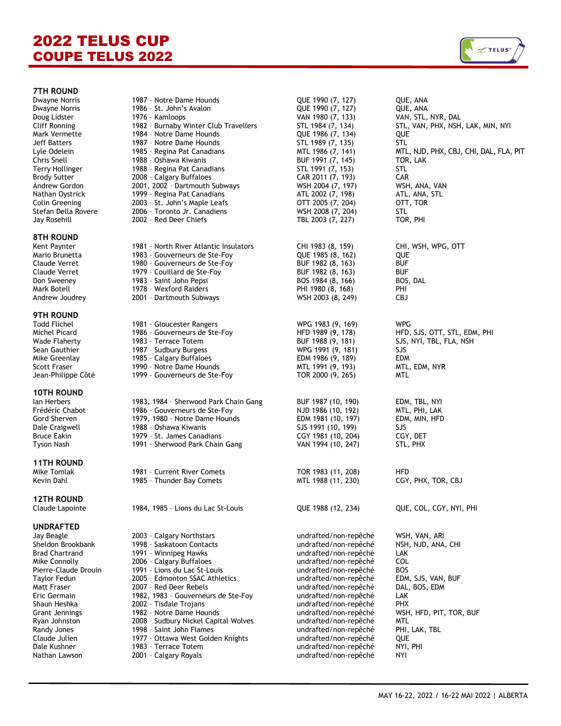

## **7TH ROUND**

# **8TH ROUND**

## **9TH ROUND**

### **10TH ROUND**

# **11TH ROUND**

## **12TH ROUND**

# **UNDRAFTED**

Sheldon Brookbank Brad Chartrand Mike Connolly Pierre-Claude Drouin Eric Germain Shaun Heshka<br>Grant Jennings Ryan Johnston Randy Jones Claude Julien<br>Dale Kushner Nathan Lawson 2001 - Calgary Royals and the mudrafted/non-repêché NYI

| 7TH ROUND                             |                                                        |                                        |                                        |
|---------------------------------------|--------------------------------------------------------|----------------------------------------|----------------------------------------|
| Dwayne Norris                         | 1987 - Notre Dame Hounds                               | QUE 1990 (7, 127)                      | QUE, ANA                               |
| Dwayne Norris                         | 1986 - St. John's Avalon                               | QUE 1990 (7, 127)                      | QUE, ANA                               |
| Doug Lidster                          | 1976 - Kamloops                                        | VAN 1980 (7, 133)                      | VAN, STL, NYR, DAL                     |
| Cliff Ronning                         | 1982 - Burnaby Winter Club Travellers                  | STL 1984 (7, 134)                      | STL, VAN, PHX, NSH, LAK, MIN, NYI      |
| Mark Vermette                         | 1984 - Notre Dame Hounds                               | QUE 1986 (7, 134)                      | QUE                                    |
| Jeff Batters                          | 1987 - Notre Dame Hounds                               | STL 1989 (7, 135)                      | STL                                    |
| Lyle Odelein                          | 1985 - Regina Pat Canadians                            | MTL 1986 (7, 141)                      | MTL, NJD, PHX, CBJ, CHI, DAL, FLA, PIT |
| Chris Snell                           | 1988 - Oshawa Kiwanis                                  | BUF 1991 (7, 145)                      | TOR, LAK                               |
| Terry Hollinger                       | 1988 - Regina Pat Canadians                            | STL 1991 (7, 153)                      | <b>STL</b>                             |
| <b>Brody Sutter</b>                   | 2008 - Calgary Buffaloes                               | CAR 2011 (7, 193)                      | CAR                                    |
| Andrew Gordon                         | 2001, 2002 - Dartmouth Subways                         | WSH 2004 (7, 197)                      | WSH, ANA, VAN                          |
| Nathan Oystrick                       | 1999 - Regina Pat Canadians                            | ATL 2002 (7, 198)                      | ATL, ANA, STL                          |
| Colin Greening<br>Stefan Della Rovere | 2003 - St. John's Maple Leafs                          | OTT 2005 (7, 204)<br>WSH 2008 (7, 204) | OTT, TOR                               |
| Jay Rosehill                          | 2006 - Toronto Jr. Canadiens<br>2002 - Red Deer Chiefs | TBL 2003 (7, 227)                      | STL<br>TOR, PHI                        |
|                                       |                                                        |                                        |                                        |
| 8TH ROUND                             |                                                        |                                        |                                        |
| Kent Paynter                          | 1981 - North River Atlantic Insulators                 | CHI 1983 (8, 159)                      | CHI, WSH, WPG, OTT                     |
| Mario Brunetta                        | 1983 - Gouverneurs de Ste-Foy                          | QUE 1985 (8, 162)                      | QUE                                    |
| Claude Verret                         | 1980 - Gouverneurs de Ste-Foy                          | BUF 1982 (8, 163)                      | <b>BUF</b>                             |
| Claude Verret                         | 1979 - Couillard de Ste-Foy                            | BUF 1982 (8, 163)                      | <b>BUF</b>                             |
| Don Sweeney                           | 1983 - Saint John Pepsi                                | BOS 1984 (8, 166)                      | BOS, DAL                               |
| Mark Botell                           | 1978 - Wexford Raiders                                 | PHI 1980 (8, 168)                      | PHI                                    |
| Andrew Joudrey                        | 2001 - Dartmouth Subways                               | WSH 2003 (8, 249)                      | <b>CBJ</b>                             |
| 9TH ROUND                             |                                                        |                                        |                                        |
| Todd Flichel                          | 1981 - Gloucester Rangers                              | WPG 1983 (9, 169)                      | <b>WPG</b>                             |
| Michel Picard                         | 1986 - Gouverneurs de Ste-Foy                          | HFD 1989 (9, 178)                      | HFD, SJS, OTT, STL, EDM, PHI           |
| Wade Flaherty                         | 1983 - Terrace Totem                                   | BUF 1988 (9, 181)                      | SJS, NYI, TBL, FLA, NSH                |
| Sean Gauthier                         | 1987 - Sudbury Burgess                                 | WPG 1991 (9, 181)                      | SJS                                    |
| Mike Greenlay                         | 1985 - Calgary Buffaloes                               | EDM 1986 (9, 189)                      | <b>EDM</b>                             |
| Scott Fraser                          | 1990 - Notre Dame Hounds                               | MTL 1991 (9, 193)                      | MTL, EDM, NYR                          |
| Jean-Philippe Côté                    | 1999 - Gouverneurs de Ste-Foy                          | TOR 2000 (9, 265)                      | MTL                                    |
| <b>10TH ROUND</b>                     |                                                        |                                        |                                        |
| Ian Herbers                           | 1983, 1984 - Sherwood Park Chain Gang                  | BUF 1987 (10, 190)                     | EDM, TBL, NYI                          |
| Frédéric Chabot                       | 1986 - Gouverneurs de Ste-Foy                          | NJD 1986 (10, 192)                     | MTL, PHI, LAK                          |
| Gord Sherven                          | 1979, 1980 - Notre Dame Hounds                         | EDM 1981 (10, 197)                     | EDM, MIN, HFD                          |
| Dale Craigwell                        | 1988 - Oshawa Kiwanis                                  | SJS 1991 (10, 199)                     | <b>SJS</b>                             |
| Bruce Eakin                           | 1979 - St. James Canadians                             | CGY 1981 (10, 204)                     | CGY, DET                               |
| Tyson Nash                            | 1991 - Sherwood Park Chain Gang                        | VAN 1994 (10, 247)                     | STL, PHX                               |
|                                       |                                                        |                                        |                                        |
| <b>11TH ROUND</b><br>Mike Tomlak      | 1981 - Current River Comets                            | TOR 1983 (11, 208)                     | HFD                                    |
| Kevin Dahl                            | 1985 - Thunder Bay Comets                              | MTL 1988 (11, 230)                     | CGY, PHX, TOR, CBJ                     |
|                                       |                                                        |                                        |                                        |
| <b>12TH ROUND</b>                     |                                                        |                                        |                                        |
| Claude Lapointe                       | 1984, 1985 - Lions du Lac St-Louis                     | QUE 1988 (12, 234)                     | QUE, COL, CGY, NYI, PHI                |
| <b>UNDRAFTED</b>                      |                                                        |                                        |                                        |
| Jay Beagle                            | 2003 - Calgary Northstars                              | undrafted/non-repêché                  | WSH, VAN, ARI                          |
| Sheldon Brookbank                     | 1998 - Saskatoon Contacts                              | undrafted/non-repêché                  | NSH, NJD, ANA, CHI                     |
| Brad Chartrand                        | 1991 - Winnipeg Hawks                                  | undrafted/non-repêché                  | LAK                                    |
| Mike Connolly                         | 2006 - Calgary Buffaloes                               | undrafted/non-repêché                  | COL                                    |
| Pierre-Claude Drouin                  | 1991 - Lions du Lac St-Louis                           | undrafted/non-repêché                  | <b>BOS</b>                             |
| Taylor Fedun                          | 2005 - Edmonton SSAC Athletics                         | undrafted/non-repêché                  | EDM, SJS, VAN, BUF                     |
| Matt Fraser                           | 2007 - Red Deer Rebels                                 | undrafted/non-repêché                  | DAL, BOS, EDM                          |
| Eric Germain                          | 1982, 1983 - Gouverneurs de Ste-Foy                    | undrafted/non-repêché                  | LAK                                    |
| Shaun Heshka                          | 2002 - Tisdale Trojans                                 | undrafted/non-repêché                  | <b>PHX</b>                             |
| Grant Jennings                        | 1982 - Notre Dame Hounds                               | undrafted/non-repêché                  | WSH, HFD, PIT, TOR, BUF                |
| Ryan Johnston                         | 2008 - Sudbury Nickel Capital Wolves                   | undrafted/non-repêché                  | MTL                                    |
| Randy Jones                           | 1998 - Saint John Flames                               | undrafted/non-repêché                  | PHI, LAK, TBL                          |
| Claude Julien                         | 1977 - Ottawa West Golden Knights                      | undrafted/non-repêché                  | <b>QUE</b>                             |
| Dale Kushner                          | 1983 - Terrace Totem                                   | undrafted/non-repêché                  | NYI, PHI                               |